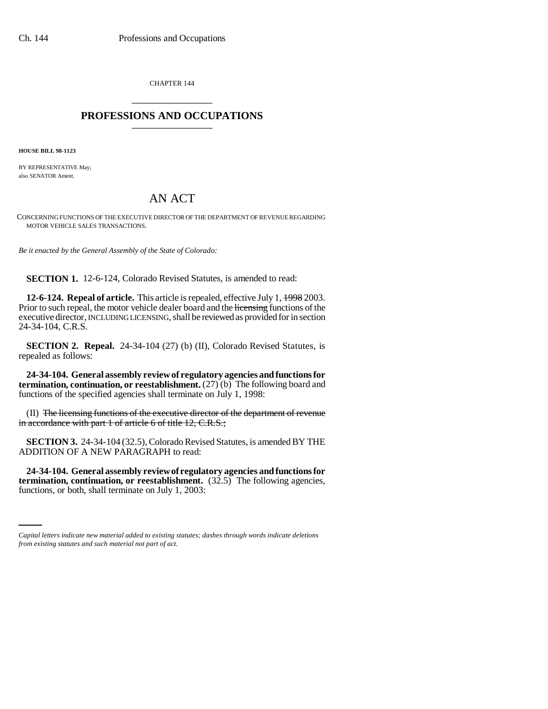CHAPTER 144 \_\_\_\_\_\_\_\_\_\_\_\_\_\_\_

## **PROFESSIONS AND OCCUPATIONS** \_\_\_\_\_\_\_\_\_\_\_\_\_\_\_

**HOUSE BILL 98-1123**

BY REPRESENTATIVE May; also SENATOR Ament.

## AN ACT

CONCERNING FUNCTIONS OF THE EXECUTIVE DIRECTOR OF THE DEPARTMENT OF REVENUE REGARDING MOTOR VEHICLE SALES TRANSACTIONS.

*Be it enacted by the General Assembly of the State of Colorado:*

**SECTION 1.** 12-6-124, Colorado Revised Statutes, is amended to read:

**12-6-124. Repeal of article.** This article is repealed, effective July 1, 1998 2003. Prior to such repeal, the motor vehicle dealer board and the licensing functions of the executive director, INCLUDING LICENSING, shall be reviewed as provided for in section 24-34-104, C.R.S.

**SECTION 2. Repeal.** 24-34-104 (27) (b) (II), Colorado Revised Statutes, is repealed as follows:

**24-34-104. General assembly review of regulatory agencies and functions for termination, continuation, or reestablishment.** (27) (b) The following board and functions of the specified agencies shall terminate on July 1, 1998:

(II) The licensing functions of the executive director of the department of revenue in accordance with part 1 of article 6 of title 12, C.R.S.;

**SECTION 3.** 24-34-104 (32.5), Colorado Revised Statutes, is amended BY THE ADDITION OF A NEW PARAGRAPH to read:

 **termination, continuation, or reestablishment.** (32.5) The following agencies, **24-34-104. General assembly review of regulatory agencies and functions for** functions, or both, shall terminate on July 1, 2003:

*Capital letters indicate new material added to existing statutes; dashes through words indicate deletions from existing statutes and such material not part of act.*